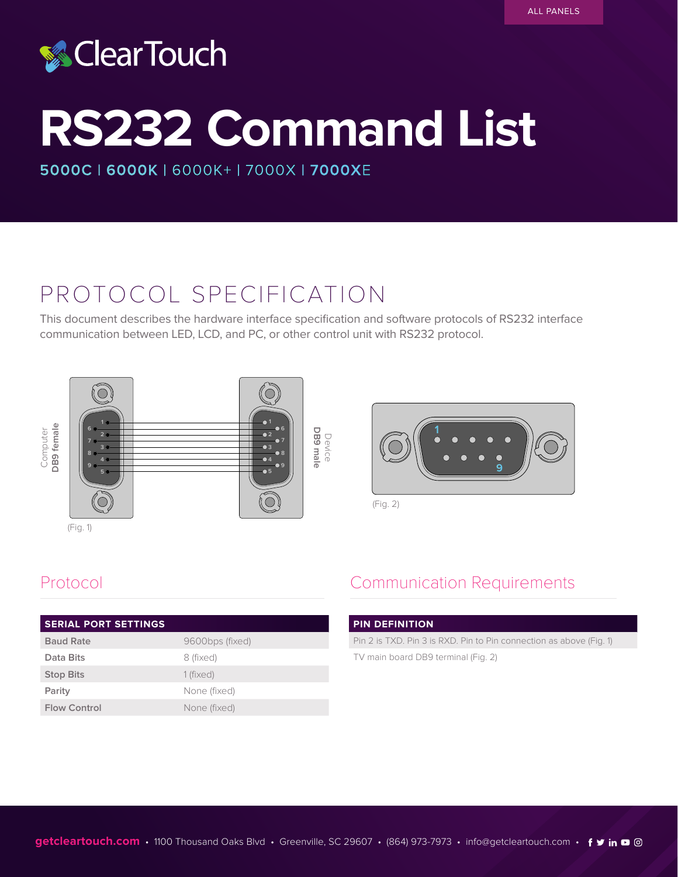# **& ClearTouch**

# **RS232 Command List**

**5000C | 6000K** | 6000K+ | 7000X **| 7000X**E

## PROTOCOL SPECIFICATION

This document describes the hardware interface specification and software protocols of RS232 interface communication between LED, LCD, and PC, or other control unit with RS232 protocol.





(Fig. 2)

| <b>SERIAL PORT SETTINGS</b> |                 |
|-----------------------------|-----------------|
| <b>Baud Rate</b>            | 9600bps (fixed) |
| Data Bits                   | 8 (fixed)       |
| <b>Stop Bits</b>            | 1 (fixed)       |
| Parity                      | None (fixed)    |
| <b>Flow Control</b>         | None (fixed)    |

## Protocol **Communication Requirements**

### **PIN DEFINITION**

Pin 2 is TXD. Pin 3 is RXD. Pin to Pin connection as above (Fig. 1) TV main board DB9 terminal (Fig. 2)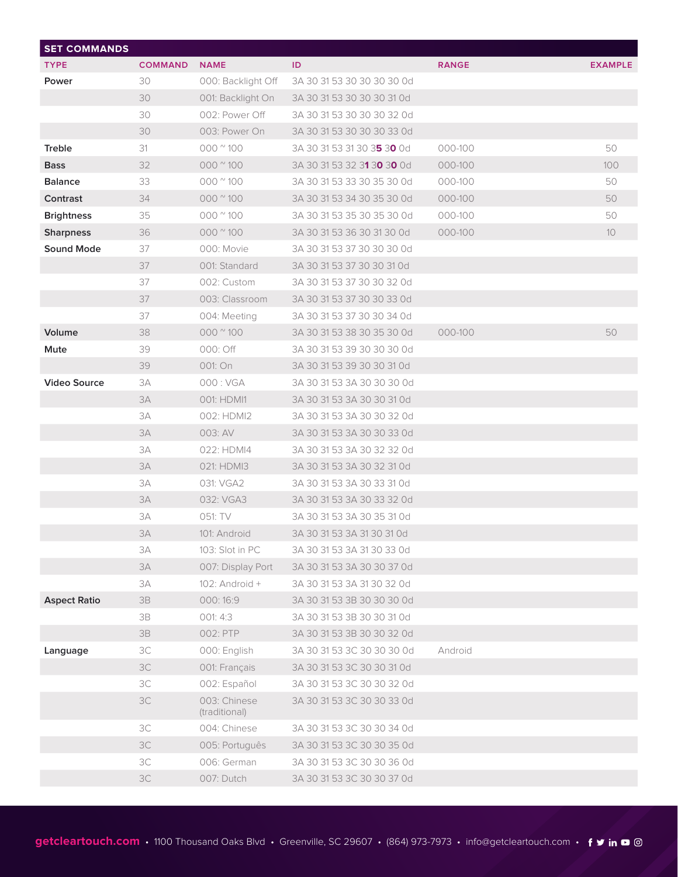| <b>SET COMMANDS</b> |                |                               |                            |              |                |
|---------------------|----------------|-------------------------------|----------------------------|--------------|----------------|
| <b>TYPE</b>         | <b>COMMAND</b> | <b>NAME</b>                   | ID                         | <b>RANGE</b> | <b>EXAMPLE</b> |
| Power               | 30             | 000: Backlight Off            | 3A 30 31 53 30 30 30 30 0d |              |                |
|                     | 30             | 001: Backlight On             | 3A 30 31 53 30 30 30 31 0d |              |                |
|                     | 30             | 002: Power Off                | 3A 30 31 53 30 30 30 32 0d |              |                |
|                     | 30             | 003: Power On                 | 3A 30 31 53 30 30 30 33 0d |              |                |
| <b>Treble</b>       | 31             | $000$ $^{\circ}$ 100          | 3A 30 31 53 31 30 35 30 0d | 000-100      | 50             |
| <b>Bass</b>         | 32             | $000$ $^{\prime\prime}$ 100   | 3A 30 31 53 32 31 30 30 0d | 000-100      | 100            |
| <b>Balance</b>      | 33             | $000$ $^{\circ}$ 100          | 3A 30 31 53 33 30 35 30 0d | 000-100      | 50             |
| Contrast            | 34             | 000 $\degree$ 100             | 3A 30 31 53 34 30 35 30 0d | 000-100      | 50             |
| <b>Brightness</b>   | 35             | $000$ $^{\circ}$ 100          | 3A 30 31 53 35 30 35 30 0d | 000-100      | 50             |
| <b>Sharpness</b>    | 36             | $000$ $^{\circ}$ 100          | 3A 30 31 53 36 30 31 30 0d | 000-100      | 10             |
| <b>Sound Mode</b>   | 37             | 000: Movie                    | 3A 30 31 53 37 30 30 30 0d |              |                |
|                     | 37             | 001: Standard                 | 3A 30 31 53 37 30 30 31 0d |              |                |
|                     | 37             | 002: Custom                   | 3A 30 31 53 37 30 30 32 0d |              |                |
|                     | 37             | 003: Classroom                | 3A 30 31 53 37 30 30 33 0d |              |                |
|                     | 37             | 004: Meeting                  | 3A 30 31 53 37 30 30 34 0d |              |                |
| Volume              | 38             | $000$ $^{\prime\prime}$ 100   | 3A 30 31 53 38 30 35 30 0d | 000-100      | 50             |
| Mute                | 39             | 000: Off                      | 3A 30 31 53 39 30 30 30 0d |              |                |
|                     | 39             | 001: On                       | 3A 30 31 53 39 30 30 31 0d |              |                |
| <b>Video Source</b> | 3A             | 000: VGA                      | 3A 30 31 53 3A 30 30 30 0d |              |                |
|                     | 3A             | 001: HDMI1                    | 3A 30 31 53 3A 30 30 31 0d |              |                |
|                     | 3A             | 002: HDMI2                    | 3A 30 31 53 3A 30 30 32 0d |              |                |
|                     | 3A             | 003: AV                       | 3A 30 31 53 3A 30 30 33 0d |              |                |
|                     | 3A             | 022: HDMI4                    | 3A 30 31 53 3A 30 32 32 0d |              |                |
|                     | 3A             | 021: HDMI3                    | 3A 30 31 53 3A 30 32 31 0d |              |                |
|                     | 3A             | 031: VGA2                     | 3A 30 31 53 3A 30 33 31 0d |              |                |
|                     | 3A             | 032: VGA3                     | 3A 30 31 53 3A 30 33 32 0d |              |                |
|                     | 3A             | 051: TV                       | 3A 30 31 53 3A 30 35 31 0d |              |                |
|                     | 3A             | 101: Android                  | 3A 30 31 53 3A 31 30 31 0d |              |                |
|                     | 3A             | 103: Slot in PC               | 3A 30 31 53 3A 31 30 33 0d |              |                |
|                     | 3A             | 007: Display Port             | 3A 30 31 53 3A 30 30 37 0d |              |                |
|                     | 3A             | 102: Android +                | 3A 30 31 53 3A 31 30 32 0d |              |                |
| <b>Aspect Ratio</b> | 3B             | 000:16:9                      | 3A 30 31 53 3B 30 30 30 0d |              |                |
|                     | $3\mathsf{B}$  | 001:4:3                       | 3A 30 31 53 3B 30 30 31 0d |              |                |
|                     | 3B             | 002: PTP                      | 3A 30 31 53 3B 30 30 32 0d |              |                |
| Language            | ЗC             | 000: English                  | 3A 30 31 53 3C 30 30 30 0d | Android      |                |
|                     | 3C             | 001: Français                 | 3A 30 31 53 3C 30 30 31 0d |              |                |
|                     | ЗC             | 002: Español                  | 3A 30 31 53 3C 30 30 32 0d |              |                |
|                     | 3C             | 003: Chinese<br>(traditional) | 3A 30 31 53 3C 30 30 33 0d |              |                |
|                     | 3C             | 004: Chinese                  | 3A 30 31 53 3C 30 30 34 0d |              |                |
|                     | 3C             | 005: Português                | 3A 30 31 53 3C 30 30 35 0d |              |                |
|                     | 3C             | 006: German                   | 3A 30 31 53 3C 30 30 36 0d |              |                |
|                     | 3C             | 007: Dutch                    | 3A 30 31 53 3C 30 30 37 0d |              |                |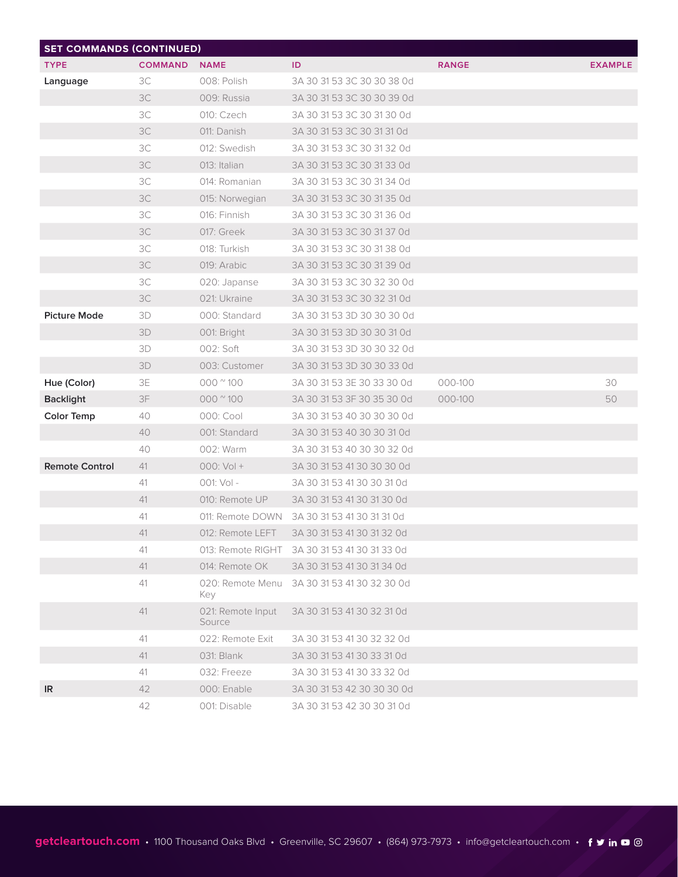| <b>SET COMMANDS (CONTINUED)</b> |                |                             |                                              |              |                |
|---------------------------------|----------------|-----------------------------|----------------------------------------------|--------------|----------------|
| <b>TYPE</b>                     | <b>COMMAND</b> | <b>NAME</b>                 | ID                                           | <b>RANGE</b> | <b>EXAMPLE</b> |
| Language                        | 3C             | 008: Polish                 | 3A 30 31 53 3C 30 30 38 0d                   |              |                |
|                                 | 3C             | 009: Russia                 | 3A 30 31 53 3C 30 30 39 0d                   |              |                |
|                                 | 3C             | 010: Czech                  | 3A 30 31 53 3C 30 31 30 0d                   |              |                |
|                                 | 3C             | 011: Danish                 | 3A 30 31 53 3C 30 31 31 0d                   |              |                |
|                                 | 3C             | 012: Swedish                | 3A 30 31 53 3C 30 31 32 0d                   |              |                |
|                                 | 3C             | 013: Italian                | 3A 30 31 53 3C 30 31 33 0d                   |              |                |
|                                 | 3C             | 014: Romanian               | 3A 30 31 53 3C 30 31 34 0d                   |              |                |
|                                 | 3C             | 015: Norwegian              | 3A 30 31 53 3C 30 31 35 0d                   |              |                |
|                                 | 3C             | 016: Finnish                | 3A 30 31 53 3C 30 31 36 0d                   |              |                |
|                                 | 3C             | 017: Greek                  | 3A 30 31 53 3C 30 31 37 0d                   |              |                |
|                                 | 3C             | 018: Turkish                | 3A 30 31 53 3C 30 31 38 0d                   |              |                |
|                                 | 3C             | 019: Arabic                 | 3A 30 31 53 3C 30 31 39 0d                   |              |                |
|                                 | 3C             | 020: Japanse                | 3A 30 31 53 3C 30 32 30 0d                   |              |                |
|                                 | 3C             | 021: Ukraine                | 3A 30 31 53 3C 30 32 31 0d                   |              |                |
| <b>Picture Mode</b>             | 3D             | 000: Standard               | 3A 30 31 53 3D 30 30 30 0d                   |              |                |
|                                 | 3D             | 001: Bright                 | 3A 30 31 53 3D 30 30 31 0d                   |              |                |
|                                 | 3D             | 002: Soft                   | 3A 30 31 53 3D 30 30 32 0d                   |              |                |
|                                 | 3D             | 003: Customer               | 3A 30 31 53 3D 30 30 33 0d                   |              |                |
| Hue (Color)                     | 3E             | $000$ $^{\circ}$ 100        | 3A 30 31 53 3E 30 33 30 0d                   | 000-100      | 30             |
| <b>Backlight</b>                | 3F             | 000 $\degree$ 100           | 3A 30 31 53 3F 30 35 30 0d                   | 000-100      | 50             |
| <b>Color Temp</b>               | 40             | 000: Cool                   | 3A 30 31 53 40 30 30 30 0d                   |              |                |
|                                 | 40             | 001: Standard               | 3A 30 31 53 40 30 30 31 0d                   |              |                |
|                                 | 40             | 002: Warm                   | 3A 30 31 53 40 30 30 32 0d                   |              |                |
| <b>Remote Control</b>           | 41             | $000:Vol +$                 | 3A 30 31 53 41 30 30 30 0d                   |              |                |
|                                 | 41             | $001: Vol -$                | 3A 30 31 53 41 30 30 31 0d                   |              |                |
|                                 | 41             | 010: Remote UP              | 3A 30 31 53 41 30 31 30 0d                   |              |                |
|                                 | 41             |                             | 011: Remote DOWN 3A 30 31 53 41 30 31 31 0d  |              |                |
|                                 | 41             | 012: Remote LEFT            | 3A 30 31 53 41 30 31 32 0d                   |              |                |
|                                 | 41             |                             | 013: Remote RIGHT 3A 30 31 53 41 30 31 33 0d |              |                |
|                                 | 41             | 014: Remote OK              | 3A 30 31 53 41 30 31 34 0d                   |              |                |
|                                 | 41             | 020: Remote Menu<br>Key     | 3A 30 31 53 41 30 32 30 0d                   |              |                |
|                                 | 41             | 021: Remote Input<br>Source | 3A 30 31 53 41 30 32 31 0d                   |              |                |
|                                 | 41             | 022: Remote Exit            | 3A 30 31 53 41 30 32 32 0d                   |              |                |
|                                 | 41             | 031: Blank                  | 3A 30 31 53 41 30 33 31 0d                   |              |                |
|                                 | 41             | 032: Freeze                 | 3A 30 31 53 41 30 33 32 0d                   |              |                |
| IR                              | 42             | 000: Enable                 | 3A 30 31 53 42 30 30 30 0d                   |              |                |
|                                 | 42             | 001: Disable                | 3A 30 31 53 42 30 30 31 0d                   |              |                |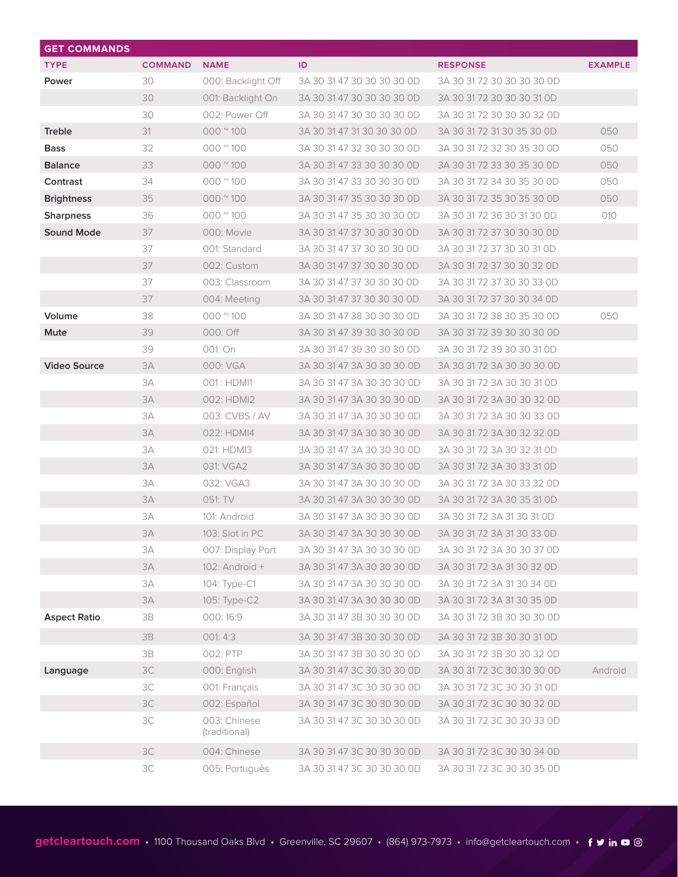| <b>GET COMMANDS</b> |                |                               |                            |                            |                |
|---------------------|----------------|-------------------------------|----------------------------|----------------------------|----------------|
| <b>TYPE</b>         | <b>COMMAND</b> | <b>NAME</b>                   | ID                         | <b>RESPONSE</b>            | <b>EXAMPLE</b> |
| Power               | 30             | 000: Backlight Off            | 3A 30 31 47 30 30 30 30 0D | 3A 30 31 72 30 30 30 30 0D |                |
|                     | 30             | 001: Backlight On             | 3A 30 31 47 30 30 30 30 0D | 3A 30 31 72 30 30 30 31 0D |                |
|                     | 30             | 002: Power Off                | 3A 30 31 47 30 30 30 30 0D | 3A 30 31 72 30 30 30 32 0D |                |
| <b>Treble</b>       | 31             | $000$ $^{\circ}$ 100          | 3A 30 31 47 31 30 30 30 0D | 3A 30 31 72 31 30 35 30 OD | 050            |
| <b>Bass</b>         | 32             | $000$ $^{\circ}$ 100          | 3A 30 31 47 32 30 30 30 0D | 3A 30 31 72 32 30 35 30 0D | 050            |
| <b>Balance</b>      | 33             | $000$ $^{\circ}$ 100          | 3A 30 31 47 33 30 30 30 0D | 3A 30 31 72 33 30 35 30 0D | 050            |
| Contrast            | 34             | $000$ $^{\circ}$ 100          | 3A 30 31 47 33 30 30 30 0D | 3A 30 31 72 34 30 35 30 0D | 050            |
| <b>Brightness</b>   | 35             | $000$ $^{\circ}$ 100          | 3A 30 31 47 35 30 30 30 0D | 3A 30 31 72 35 30 35 30 0D | 050            |
| <b>Sharpness</b>    | 36             | $000$ $^{\circ}$ 100          | 3A 30 31 47 35 30 30 30 0D | 3A 30 31 72 36 30 31 30 OD | 010            |
| <b>Sound Mode</b>   | 37             | 000: Movie                    | 3A 30 31 47 37 30 30 30 0D | 3A 30 31 72 37 30 30 30 0D |                |
|                     | 37             | 001: Standard                 | 3A 30 31 47 37 30 30 30 0D | 3A 30 31 72 37 30 30 31 0D |                |
|                     | 37             | 002: Custom                   | 3A 30 31 47 37 30 30 30 0D | 3A 30 31 72 37 30 30 32 0D |                |
|                     | 37             | 003: Classroom                | 3A 30 31 47 37 30 30 30 0D | 3A 30 31 72 37 30 30 33 0D |                |
|                     | 37             | 004: Meeting                  | 3A 30 31 47 37 30 30 30 0D | 3A 30 31 72 37 30 30 34 0D |                |
| Volume              | 38             | $000$ $^{\circ}$ 100          | 3A 30 31 47 38 30 30 30 0D | 3A 30 31 72 38 30 35 30 0D | 050            |
| Mute                | 39             | 000: Off                      | 3A 30 31 47 39 30 30 30 0D | 3A 30 31 72 39 30 30 30 0D |                |
|                     | 39             | 001: On                       | 3A 30 31 47 39 30 30 30 0D | 3A 30 31 72 39 30 30 31 0D |                |
| <b>Video Source</b> | 3A             | 000: VGA                      | 3A 30 31 47 3A 30 30 30 0D | 3A 30 31 72 3A 30 30 30 0D |                |
|                     | 3A             | 001: HDMI1                    | 3A 30 31 47 3A 30 30 30 0D | 3A 30 31 72 3A 30 30 31 0D |                |
|                     | 3A             | 002: HDMI2                    | 3A 30 31 47 3A 30 30 30 0D | 3A 30 31 72 3A 30 30 32 OD |                |
|                     | 3A             | 003: CVBS / AV                | 3A 30 31 47 3A 30 30 30 0D | 3A 30 31 72 3A 30 30 33 0D |                |
|                     | 3A             | 022: HDMI4                    | 3A 30 31 47 3A 30 30 30 0D | 3A 30 31 72 3A 30 32 32 0D |                |
|                     | 3A             | 021: HDMI3                    | 3A 30 31 47 3A 30 30 30 0D | 3A 30 31 72 3A 30 32 31 0D |                |
|                     | 3A             | 031: VGA2                     | 3A 30 31 47 3A 30 30 30 0D | 3A 30 31 72 3A 30 33 31 0D |                |
|                     | 3A             | 032: VGA3                     | 3A 30 31 47 3A 30 30 30 0D | 3A 30 31 72 3A 30 33 32 OD |                |
|                     | 3A             | 051: TV                       | 3A 30 31 47 3A 30 30 30 0D | 3A 30 31 72 3A 30 35 31 0D |                |
|                     | 3A             | 101: Android                  | 3A 30 31 47 3A 30 30 30 0D | 3A 30 31 72 3A 31 30 31 0D |                |
|                     | 3A             | 103: Slot in PC               | 3A 30 31 47 3A 30 30 30 0D | 3A 30 31 72 3A 31 30 33 OD |                |
|                     | 3A             | 007: Display Port             | 3A 30 31 47 3A 30 30 30 0D | 3A 30 31 72 3A 30 30 37 0D |                |
|                     | 3A             | 102: Android +                | 3A 30 31 47 3A 30 30 30 0D | 3A 30 31 72 3A 31 30 32 OD |                |
|                     | 3A             | 104: Type-C1                  | 3A 30 31 47 3A 30 30 30 0D | 3A 30 31 72 3A 31 30 34 0D |                |
|                     | 3A             | 105: Type-C2                  | 3A 30 31 47 3A 30 30 30 0D | 3A 30 31 72 3A 31 30 35 OD |                |
| <b>Aspect Ratio</b> | 3B             | 000:16:9                      | 3A 30 31 47 3B 30 30 30 0D | 3A 30 31 72 3B 30 30 30 0D |                |
|                     | 3B             | 001:4:3                       | 3A 30 31 47 3B 30 30 30 0D | 3A 30 31 72 3B 30 30 31 0D |                |
|                     | 3B             | 002: PTP                      | 3A 30 31 47 3B 30 30 30 0D | 3A 30 31 72 3B 30 30 32 0D |                |
| Language            | 3C             | 000: English                  | 3A 30 31 47 3C 30 30 30 0D | 3A 30 31 72 3C 30 30 30 0D | Android        |
|                     | 3C             | 001: Français                 | 3A 30 31 47 3C 30 30 30 0D | 3A 30 31 72 3C 30 30 31 0D |                |
|                     | 3C             | 002: Español                  | 3A 30 31 47 3C 30 30 30 0D | 3A 30 31 72 3C 30 30 32 0D |                |
|                     | 3C             | 003: Chinese<br>(traditional) | 3A 30 31 47 3C 30 30 30 0D | 3A 30 31 72 3C 30 30 33 0D |                |
|                     |                |                               |                            |                            |                |
|                     | 3C             | 004: Chinese                  | 3A 30 31 47 3C 30 30 30 0D | 3A 30 31 72 3C 30 30 34 0D |                |
|                     | 3C             | 005: Português                | 3A 30 31 47 3C 30 30 30 0D | 3A 30 31 72 3C 30 30 35 0D |                |